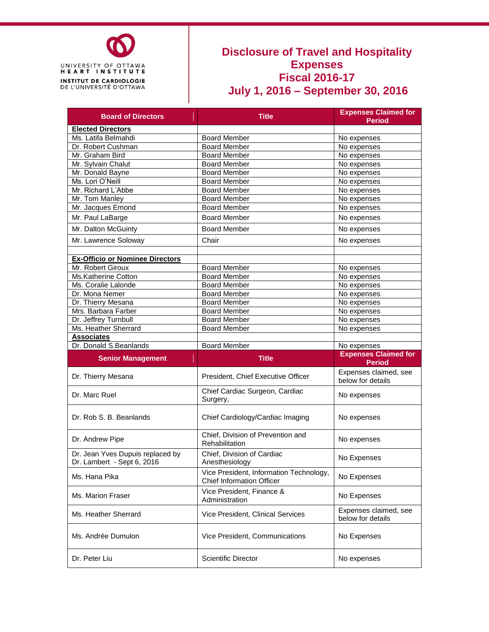

## **Disclosure of Travel and Hospitality Expenses Fiscal 2016-17 July 1, 2016 – September 30, 2016**

| <b>Board of Directors</b>                                      | <b>Title</b>                                                                | <b>Expenses Claimed for</b><br><b>Period</b> |  |
|----------------------------------------------------------------|-----------------------------------------------------------------------------|----------------------------------------------|--|
| <b>Elected Directors</b>                                       |                                                                             |                                              |  |
| Ms. Latifa Belmahdi                                            | <b>Board Member</b>                                                         | No expenses                                  |  |
| Dr. Robert Cushman                                             | <b>Board Member</b>                                                         | No expenses                                  |  |
| Mr. Graham Bird                                                | <b>Board Member</b>                                                         | No expenses                                  |  |
| Mr. Sylvain Chalut                                             | Board Member                                                                | No expenses                                  |  |
| Mr. Donald Bayne                                               | <b>Board Member</b>                                                         | No expenses                                  |  |
| Ms. Lori O'Neill                                               | <b>Board Member</b>                                                         | No expenses                                  |  |
| Mr. Richard L'Abbe                                             | <b>Board Member</b>                                                         | No expenses                                  |  |
| Mr. Tom Manley                                                 | <b>Board Member</b>                                                         | No expenses                                  |  |
| Mr. Jacques Emond                                              | <b>Board Member</b>                                                         | No expenses                                  |  |
|                                                                | <b>Board Member</b>                                                         |                                              |  |
| Mr. Paul LaBarge                                               |                                                                             | No expenses                                  |  |
| Mr. Dalton McGuinty                                            | <b>Board Member</b>                                                         | No expenses                                  |  |
| Mr. Lawrence Soloway                                           | Chair                                                                       | No expenses                                  |  |
| <b>Ex-Officio or Nominee Directors</b>                         |                                                                             |                                              |  |
| Mr. Robert Giroux                                              | <b>Board Member</b>                                                         | No expenses                                  |  |
| Ms.Katherine Cotton                                            | <b>Board Member</b>                                                         | No expenses                                  |  |
| Ms. Coralie Lalonde                                            | <b>Board Member</b>                                                         | No expenses                                  |  |
| Dr. Mona Nemer                                                 | <b>Board Member</b>                                                         | No expenses                                  |  |
|                                                                | <b>Board Member</b>                                                         |                                              |  |
| Dr. Thierry Mesana                                             |                                                                             | No expenses                                  |  |
| Mrs. Barbara Farber                                            | <b>Board Member</b>                                                         | No expenses                                  |  |
| Dr. Jeffrey Turnbull                                           | <b>Board Member</b>                                                         | No expenses                                  |  |
| Ms. Heather Sherrard                                           | <b>Board Member</b>                                                         | No expenses                                  |  |
|                                                                |                                                                             |                                              |  |
| <b>Associates</b>                                              |                                                                             |                                              |  |
| Dr. Donald S.Beanlands                                         | <b>Board Member</b>                                                         | No expenses                                  |  |
| <b>Senior Management</b>                                       | <b>Title</b>                                                                | <b>Expenses Claimed for</b><br><b>Period</b> |  |
| Dr. Thierry Mesana                                             | President, Chief Executive Officer                                          | Expenses claimed, see<br>below for details   |  |
| Dr. Marc Ruel                                                  | Chief Cardiac Surgeon, Cardiac<br>Surgery,                                  | No expenses                                  |  |
| Dr. Rob S. B. Beanlands                                        | Chief Cardiology/Cardiac Imaging                                            | No expenses                                  |  |
| Dr. Andrew Pipe                                                | Chief, Division of Prevention and<br>Rehabilitation                         | No expenses                                  |  |
| Dr. Jean Yves Dupuis replaced by<br>Dr. Lambert - Sept 6, 2016 | Chief, Division of Cardiac<br>Anesthesiology                                | No Expenses                                  |  |
| Ms. Hana Pika                                                  | Vice President, Information Technology,<br><b>Chief Information Officer</b> | No Expenses                                  |  |
| Ms. Marion Fraser                                              | Vice President, Finance &<br>Administration                                 | No Expenses                                  |  |
| Ms. Heather Sherrard                                           | Vice President, Clinical Services                                           | Expenses claimed, see<br>below for details   |  |
| Ms. Andrée Dumulon                                             | Vice President, Communications                                              | No Expenses                                  |  |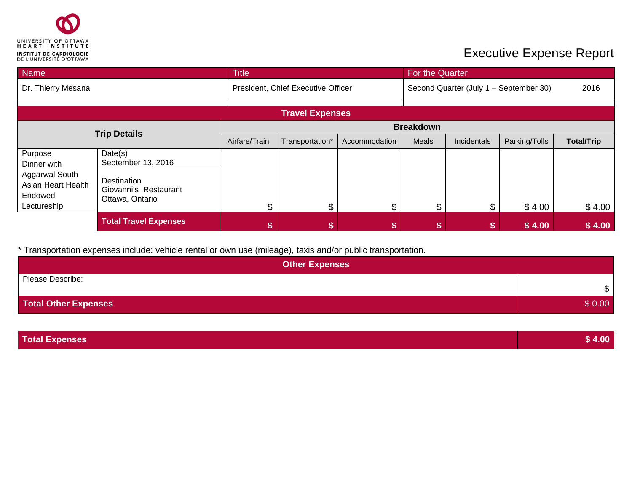

## **Executive Expense Report**

| Name                                                           |                                                         | <b>Title</b>                       |                        |                                        | For the Quarter |             |               |                   |  |
|----------------------------------------------------------------|---------------------------------------------------------|------------------------------------|------------------------|----------------------------------------|-----------------|-------------|---------------|-------------------|--|
| Dr. Thierry Mesana                                             |                                                         | President, Chief Executive Officer |                        | Second Quarter (July 1 - September 30) |                 |             | 2016          |                   |  |
|                                                                |                                                         |                                    |                        |                                        |                 |             |               |                   |  |
|                                                                |                                                         |                                    | <b>Travel Expenses</b> |                                        |                 |             |               |                   |  |
| <b>Trip Details</b>                                            |                                                         | <b>Breakdown</b>                   |                        |                                        |                 |             |               |                   |  |
|                                                                |                                                         | Airfare/Train                      | Transportation*        | Accommodation                          | Meals           | Incidentals | Parking/Tolls | <b>Total/Trip</b> |  |
| Purpose<br>Dinner with                                         | Date(s)<br>September 13, 2016                           |                                    |                        |                                        |                 |             |               |                   |  |
| Aggarwal South<br>Asian Heart Health<br>Endowed<br>Lectureship | Destination<br>Giovanni's Restaurant<br>Ottawa, Ontario | $\mathbb{S}$                       | \$                     | \$                                     | ጥ               | \$.         | \$4.00        | \$4.00            |  |
|                                                                | <b>Total Travel Expenses</b>                            |                                    |                        |                                        |                 |             | \$4.00        | \$4.00            |  |

\* Transportation expenses include: vehicle rental or own use (mileage), taxis and/or public transportation.

| <b>Other Expenses</b>       |        |  |  |  |
|-----------------------------|--------|--|--|--|
| Please Describe:            | \$     |  |  |  |
| <b>Total Other Expenses</b> | \$0.00 |  |  |  |

**Total Expenses \$ 4.00**